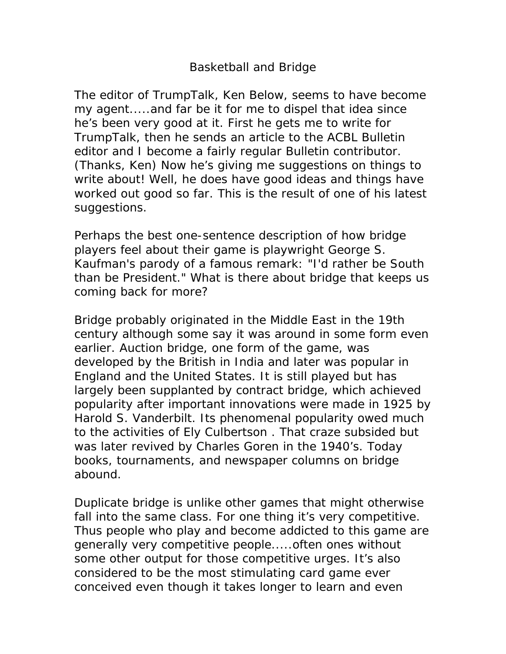## Basketball and Bridge

The editor of TrumpTalk, Ken Below, seems to have become my agent.....and far be it for me to dispel that idea since he's been very good at it. First he gets me to write for TrumpTalk, then he sends an article to the ACBL Bulletin editor and I become a fairly regular Bulletin contributor. (Thanks, Ken) Now he's giving me suggestions on things to write about! Well, he does have good ideas and things have worked out good so far. This is the result of one of his latest suggestions.

Perhaps the best one-sentence description of how bridge players feel about their game is playwright George S. Kaufman's parody of a famous remark: "I'd rather be South than be President." What is there about bridge that keeps us coming back for more?

Bridge probably originated in the Middle East in the 19th century although some say it was around in some form even earlier. Auction bridge, one form of the game, was developed by the British in India and later was popular in England and the United States. It is still played but has largely been supplanted by contract bridge, which achieved popularity after important innovations were made in 1925 by Harold S. Vanderbilt. Its phenomenal popularity owed much to the activities of Ely Culbertson . That craze subsided but was later revived by Charles Goren in the 1940's. Today books, tournaments, and newspaper columns on bridge abound.

Duplicate bridge is unlike other games that might otherwise fall into the same class. For one thing it's very competitive. Thus people who play and become addicted to this game are generally very competitive people.....often ones without some other output for those competitive urges. It's also considered to be the most stimulating card game ever conceived even though it takes longer to learn and even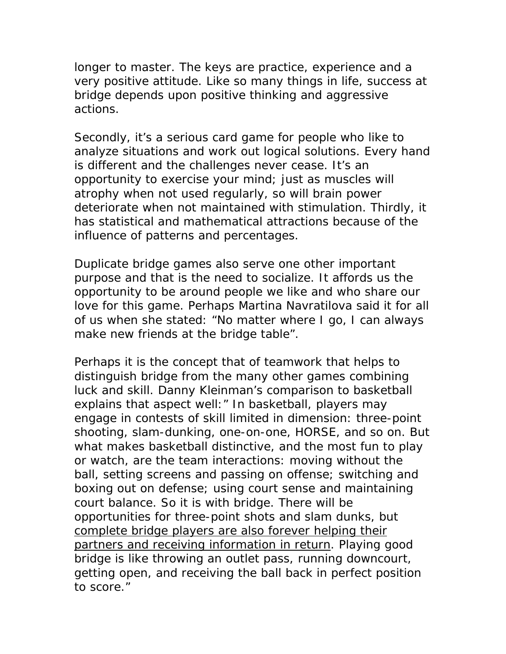longer to master. The keys are practice, experience and a very positive attitude. Like so many things in life, success at bridge depends upon positive thinking and aggressive actions.

Secondly, it's a serious card game for people who like to analyze situations and work out logical solutions. Every hand is different and the challenges never cease. It's an opportunity to exercise your mind; just as muscles will atrophy when not used regularly, so will brain power deteriorate when not maintained with stimulation. Thirdly, it has statistical and mathematical attractions because of the influence of patterns and percentages.

Duplicate bridge games also serve one other important purpose and that is the need to socialize. It affords us the opportunity to be around people we like and who share our love for this game. Perhaps Martina Navratilova said it for all of us when she stated: "No matter where I go, I can always make new friends at the bridge table".

Perhaps it is the concept that of teamwork that helps to distinguish bridge from the many other games combining luck and skill. Danny Kleinman's comparison to basketball explains that aspect well:" In basketball, players may engage in contests of skill limited in dimension: three-point shooting, slam-dunking, one-on-one, HORSE, and so on. But what makes basketball distinctive, and the most fun to play or watch, are the team interactions: moving without the ball, setting screens and passing on offense; switching and boxing out on defense; using court sense and maintaining court balance. So it is with bridge. There will be opportunities for three-point shots and slam dunks, but complete bridge players are also forever helping their partners and receiving information in return. Playing good bridge is like throwing an outlet pass, running downcourt, getting open, and receiving the ball back in perfect position to score."